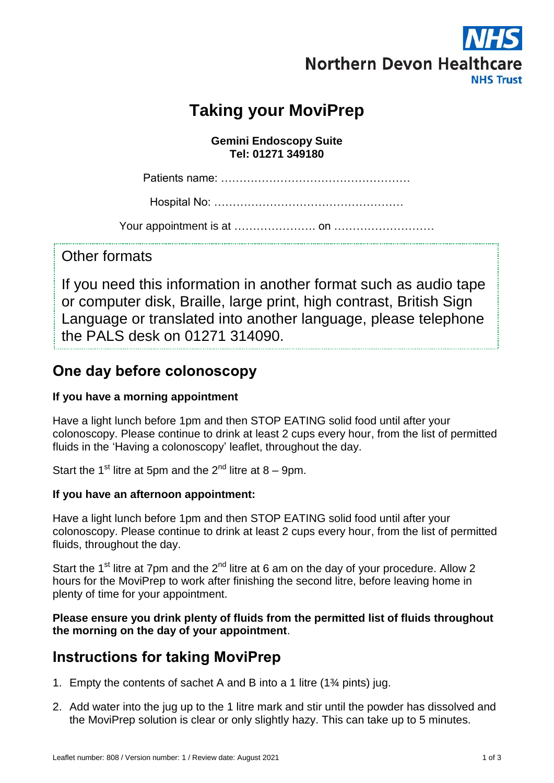

# **Taking your MoviPrep**

**Gemini Endoscopy Suite Tel: 01271 349180**

Patients name: ……………………………………………

Hospital No: ……………………………………………

Your appointment is at …………………. on ………………………

Other formats

If you need this information in another format such as audio tape or computer disk, Braille, large print, high contrast, British Sign Language or translated into another language, please telephone the PALS desk on 01271 314090.

## **One day before colonoscopy**

#### **If you have a morning appointment**

Have a light lunch before 1pm and then STOP EATING solid food until after your colonoscopy. Please continue to drink at least 2 cups every hour, from the list of permitted fluids in the 'Having a colonoscopy' leaflet, throughout the day.

Start the 1<sup>st</sup> litre at 5pm and the  $2^{nd}$  litre at 8 – 9pm.

#### **If you have an afternoon appointment:**

Have a light lunch before 1pm and then STOP EATING solid food until after your colonoscopy. Please continue to drink at least 2 cups every hour, from the list of permitted fluids, throughout the day.

Start the 1<sup>st</sup> litre at 7pm and the  $2^{nd}$  litre at 6 am on the day of your procedure. Allow 2 hours for the MoviPrep to work after finishing the second litre, before leaving home in plenty of time for your appointment.

**Please ensure you drink plenty of fluids from the permitted list of fluids throughout the morning on the day of your appointment**.

## **Instructions for taking MoviPrep**

- 1. Empty the contents of sachet A and B into a 1 litre (1¾ pints) jug.
- 2. Add water into the jug up to the 1 litre mark and stir until the powder has dissolved and the MoviPrep solution is clear or only slightly hazy. This can take up to 5 minutes.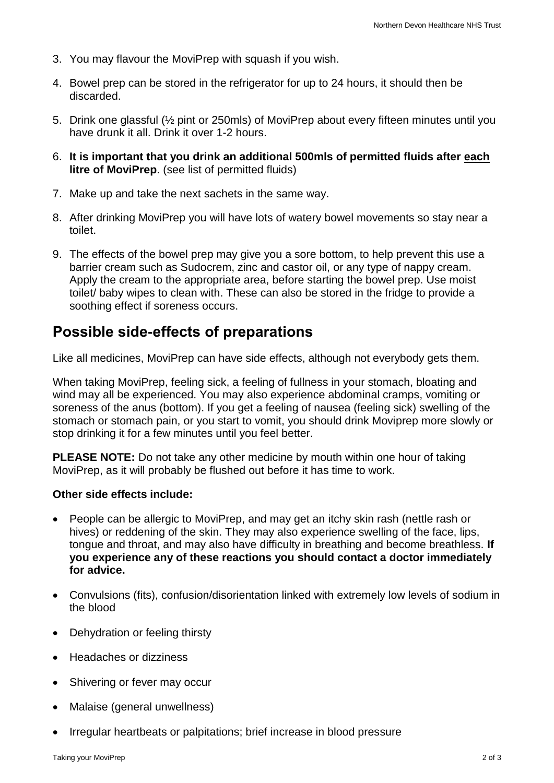- 3. You may flavour the MoviPrep with squash if you wish.
- 4. Bowel prep can be stored in the refrigerator for up to 24 hours, it should then be discarded.
- 5. Drink one glassful (½ pint or 250mls) of MoviPrep about every fifteen minutes until you have drunk it all. Drink it over 1-2 hours.
- 6. **It is important that you drink an additional 500mls of permitted fluids after each litre of MoviPrep.** (see list of permitted fluids)
- 7. Make up and take the next sachets in the same way.
- 8. After drinking MoviPrep you will have lots of watery bowel movements so stay near a toilet.
- 9. The effects of the bowel prep may give you a sore bottom, to help prevent this use a barrier cream such as Sudocrem, zinc and castor oil, or any type of nappy cream. Apply the cream to the appropriate area, before starting the bowel prep. Use moist toilet/ baby wipes to clean with. These can also be stored in the fridge to provide a soothing effect if soreness occurs.

### **Possible side-effects of preparations**

Like all medicines, MoviPrep can have side effects, although not everybody gets them.

When taking MoviPrep, feeling sick, a feeling of fullness in your stomach, bloating and wind may all be experienced. You may also experience abdominal cramps, vomiting or soreness of the anus (bottom). If you get a feeling of nausea (feeling sick) swelling of the stomach or stomach pain, or you start to vomit, you should drink Moviprep more slowly or stop drinking it for a few minutes until you feel better.

**PLEASE NOTE:** Do not take any other medicine by mouth within one hour of taking MoviPrep, as it will probably be flushed out before it has time to work.

#### **Other side effects include:**

- People can be allergic to MoviPrep, and may get an itchy skin rash (nettle rash or hives) or reddening of the skin. They may also experience swelling of the face, lips, tongue and throat, and may also have difficulty in breathing and become breathless. **If you experience any of these reactions you should contact a doctor immediately for advice.**
- Convulsions (fits), confusion/disorientation linked with extremely low levels of sodium in the blood
- Dehydration or feeling thirsty
- Headaches or dizziness
- Shivering or fever may occur
- Malaise (general unwellness)
- Irregular heartbeats or palpitations; brief increase in blood pressure